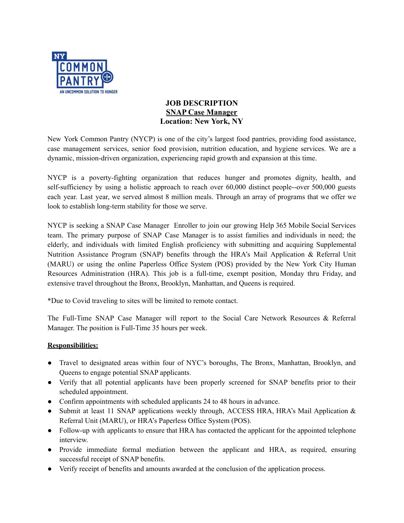

# **JOB DESCRIPTION SNAP Case Manager Location: New York, NY**

New York Common Pantry (NYCP) is one of the city's largest food pantries, providing food assistance, case management services, senior food provision, nutrition education, and hygiene services. We are a dynamic, mission-driven organization, experiencing rapid growth and expansion at this time.

NYCP is a poverty-fighting organization that reduces hunger and promotes dignity, health, and self-sufficiency by using a holistic approach to reach over 60,000 distinct people--over 500,000 guests each year. Last year, we served almost 8 million meals. Through an array of programs that we offer we look to establish long-term stability for those we serve.

NYCP is seeking a SNAP Case Manager Enroller to join our growing Help 365 Mobile Social Services team. The primary purpose of SNAP Case Manager is to assist families and individuals in need; the elderly, and individuals with limited English proficiency with submitting and acquiring Supplemental Nutrition Assistance Program (SNAP) benefits through the HRA's Mail Application & Referral Unit (MARU) or using the online Paperless Office System (POS) provided by the New York City Human Resources Administration (HRA). This job is a full-time, exempt position, Monday thru Friday, and extensive travel throughout the Bronx, Brooklyn, Manhattan, and Queens is required.

\*Due to Covid traveling to sites will be limited to remote contact.

The Full-Time SNAP Case Manager will report to the Social Care Network Resources & Referral Manager. The position is Full-Time 35 hours per week.

# **Responsibilities:**

- Travel to designated areas within four of NYC's boroughs, The Bronx, Manhattan, Brooklyn, and Queens to engage potential SNAP applicants.
- Verify that all potential applicants have been properly screened for SNAP benefits prior to their scheduled appointment.
- Confirm appointments with scheduled applicants 24 to 48 hours in advance.
- Submit at least 11 SNAP applications weekly through, ACCESS HRA, HRA's Mail Application  $\&$ Referral Unit (MARU), or HRA's Paperless Office System (POS).
- Follow-up with applicants to ensure that HRA has contacted the applicant for the appointed telephone interview.
- Provide immediate formal mediation between the applicant and HRA, as required, ensuring successful receipt of SNAP benefits.
- Verify receipt of benefits and amounts awarded at the conclusion of the application process.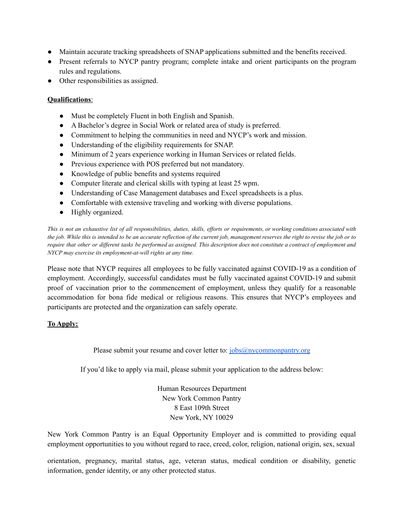- Maintain accurate tracking spreadsheets of SNAP applications submitted and the benefits received.
- Present referrals to NYCP pantry program; complete intake and orient participants on the program rules and regulations.
- Other responsibilities as assigned.

### **Qualifications**:

- Must be completely Fluent in both English and Spanish.
- A Bachelor's degree in Social Work or related area of study is preferred.
- Commitment to helping the communities in need and NYCP's work and mission.
- Understanding of the eligibility requirements for SNAP.
- Minimum of 2 years experience working in Human Services or related fields.
- Previous experience with POS preferred but not mandatory.
- Knowledge of public benefits and systems required
- Computer literate and clerical skills with typing at least 25 wpm.
- Understanding of Case Management databases and Excel spreadsheets is a plus.
- Comfortable with extensive traveling and working with diverse populations.
- Highly organized.

This is not an exhaustive list of all responsibilities, duties, skills, efforts or requirements, or working conditions associated with the job. While this is intended to be an accurate reflection of the current job, management reserves the right to revise the job or to require that other or different tasks be performed as assigned. This description does not constitute a contract of employment and *NYCP may exercise its employment-at-will rights at any time.*

Please note that NYCP requires all employees to be fully vaccinated against COVID-19 as a condition of employment. Accordingly, successful candidates must be fully vaccinated against COVID-19 and submit proof of vaccination prior to the commencement of employment, unless they qualify for a reasonable accommodation for bona fide medical or religious reasons. This ensures that NYCP's employees and participants are protected and the organization can safely operate.

#### **To Apply:**

Please submit your resume and cover letter to: [jobs@nycommonpantry.org](mailto:jobs@nycommonpantry.org)

If you'd like to apply via mail, please submit your application to the address below:

Human Resources Department New York Common Pantry 8 East 109th Street New York, NY 10029

New York Common Pantry is an Equal Opportunity Employer and is committed to providing equal employment opportunities to you without regard to race, creed, color, religion, national origin, sex, sexual

orientation, pregnancy, marital status, age, veteran status, medical condition or disability, genetic information, gender identity, or any other protected status.